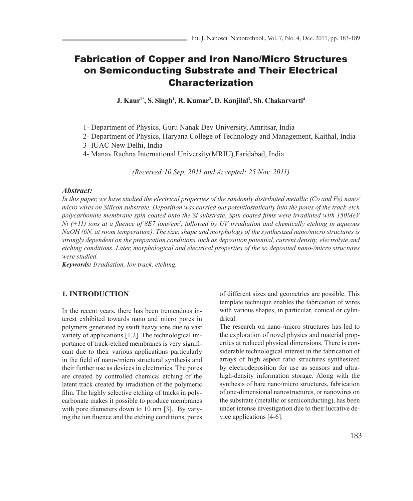# Fabrication of Copper and Iron Nano/Micro Structures on Semiconducting Substrate and Their Electrical Characterization

**J. Kaur1\*, S. Singh1 , R. Kumar2 , D. Kanjilal3 , Sh. Chakarvarti4**

1- Department of Physics, Guru Nanak Dev University, Amritsar, India

2- Department of Physics, Haryana College of Technology and Management, Kaithal, India

3- IUAC New Delhi, India

4- Manav Rachna International University(MRIU),Faridabad, India

*(Received:10 Sep. 2011 and Accepted: 25 Nov. 2011)*

#### *Abstract:*

*In this paper, we have studied the electrical properties of the randomly distributed metallic (Co and Fe) nano/ micro wires on Silicon substrate. Deposition was carried out potentiostatically into the pores of the track-etch polycarbonate membrane spin coated onto the Si substrate. Spin coated films were irradiated with 150MeV Ni (+11) ions at a fluence of 8E7 ions/cm<sup>2</sup> , followed by UV irradiation and chemically etching in aqueous NaOH (6N, at room temperature). The size, shape and morphology of the synthesized nano/micro structures is strongly dependent on the preparation conditions such as deposition potential, current density, electrolyte and etching conditions. Later, morphological and electrical properties of the so deposited nano-/micro structures were studied.*

*Keywords: Irradiation, Ion track, etching.*

## **1. INTRODUCTION**

In the recent years, there has been tremendous interest exhibited towards nano and micro pores in polymers generated by swift heavy ions due to vast variety of applications [1,2]. The technological importance of track-etched membranes is very significant due to their various applications particularly in the field of nano-/micro structural synthesis and their further use as devices in electronics. The pores are created by controlled chemical etching of the latent track created by irradiation of the polymeric film. The highly selective etching of tracks in polycarbonate makes it possible to produce membranes with pore diameters down to 10 nm [3]. By varying the ion fluence and the etching conditions, pores of different sizes and geometries are possible. This template technique enables the fabrication of wires with various shapes, in particular, conical or cylindrical.

The research on nano-/micro structures has led to the exploration of novel physics and material properties at reduced physical dimensions. There is considerable technological interest in the fabrication of arrays of high aspect ratio structures synthesized by electrodeposition for use as sensors and ultrahigh-density information storage. Along with the synthesis of bare nano/micro structures, fabrication of one-dimensional nanostructures, or nanowires on the substrate (metallic or semiconducting), has been under intense investigation due to their lucrative device applications [4-6].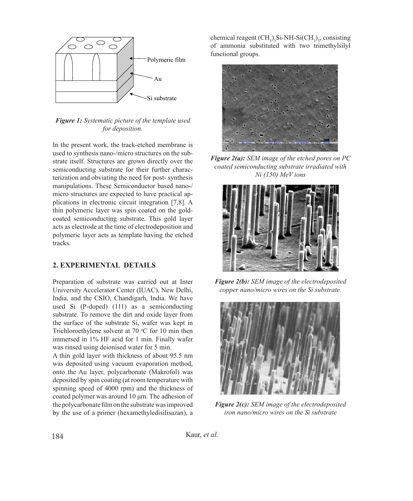

*Figure 1: Systematic picture of the template used for deposition.*

In the present work, the track-etched membrane is used to synthesis nano-/micro structures on the substrate itself. Structures are grown directly over the semiconducting substrate for their further characterization and obviating the need for post- synthesis manipulations. These Semiconductor based nano-/ micro structures are expected to have practical applications in electronic circuit integration [7,8]. A thin polymeric layer was spin coated on the goldcoated semiconducting substrate. This gold layer acts as electrode at the time of electrodeposition and polymeric layer acts as template having the etched tracks.

# **2. EXPERIMENTAL DETAILS**

Preparation of substrate was carried out at Inter University Accelerator Center (IUAC), New Delhi, India, and the CSIO, Chandigarh, India. We have used Si (P-doped) (111) as a semiconducting substrate. To remove the dirt and oxide layer from the surface of the substrate Si, wafer was kept in Trichloroethylene solvent at  $70 °C$  for 10 min then immersed in 1% HF acid for 1 min. Finally wafer was rinsed using deionised water for 5 min.

A thin gold layer with thickness of about 95.5 nm was deposited using vacuum evaporation method, onto the Au layer, polycarbonate (Makrofol) was deposited by spin coating (at room temperature with spinning speed of 4000 rpm) and the thickness of coated polymer was around 10 μm. The adhesion of the polycarbonate film on the substrate was improved by the use of a primer (hexamethyledisilisazan), a

chemical reagent  $(CH_3)_3$ Si-NH-Si $(CH_3)_3$ , consisting of ammonia substituted with two trimethylsilyl functional groups.



**EXAMONDUCTION IMAGE OF THE CONCLUSION COATED SERVICES** SUPPORTION COATED SUPPORTION COATED SUPPORTION COATED SUPPORTION COATED SUPPORTION OF THE COATED SUPPORTION OF THE COATED SUPPORTION OF THE COATED SUPPORTION OF THE C *Ni (150)* MeV ions *Figure 2(a): SEM image of the etched pores on PC* 



copper nano/micro wires on the Si substrate. *Figure 2(b): SEM image of the electrodeposited* 



**Figure 2(c):** SEM image of the electrodeposited *iron nano/micro wires on the Si substrate*

Kaur, *et al.*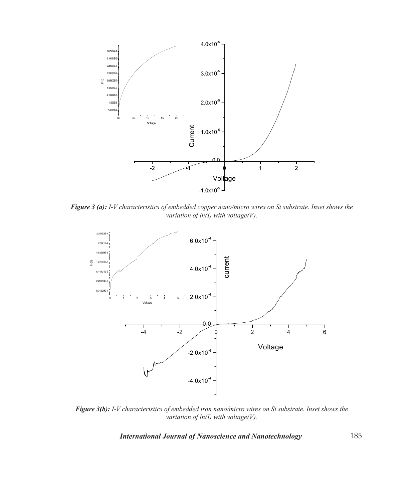

*Figure 3 (a): I-V characteristics of embedded copper nano/micro wires on Si substrate. Inset shows the variation of ln(I) with voltage(V).*



*Figure 3(b): I-V characteristics of embedded iron nano/micro wires on Si substrate. Inset shows the variation of ln(I) with voltage(V).*

 $\overline{J}$  is the state of  $\overline{J}$  on  $\overline{J}$  substrate. Inset on Si substrate. Inset on Si substrate. In Si substrate. In Si substrate. In Si substrate. In Si substrate. In Si substrate. In Si substrate. In Si substrate. *International Journal of Nanoscience and Nanotechnology*

185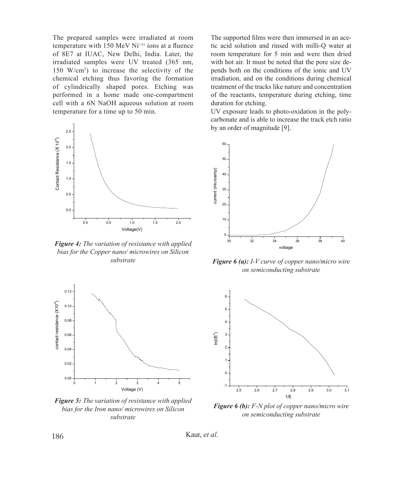The prepared samples were irradiated at room temperature with  $150 \text{ MeV}$  Ni<sup>+11</sup> ions at a fluence of 8E7 at IUAC, New Delhi, India. Later, the irradiated samples were UV treated (365 nm, 150 W/cm<sup>2</sup> ) to increase the selectivity of the chemical etching thus favoring the formation irradiation, and on the commic chemical etching thus favoring the formation of cylindrically shaped pores. Etching was performed in a home made one-compartment cell with a 6N NaOH aqueous solution at room temperature for a time up to 50 min.



*Figure 4: The variation of resistance with applied*  bias for the Copper nano/ microwires on Silicon *substrate*



bias for the Iron nano/ microwires on Silicon **Figure o (0):** F-N p *Figure 5: The variation of resistance with applied substrate*

The supported films were then immersed in an acetic acid solution and rinsed with milli-Q water at room temperature for 5 min and were then dried with hot air. It must be noted that the pore size depends both on the conditions of the ionic and UV irradiation, and on the conditions during chemical treatment of the tracks like nature and concentration of the reactants, temperature during etching, time duration for etching.  $\overline{\text{vol}}$ 

UV exposure leads to photo-oxidation in the polycarbonate and is able to increase the track etch ratio by an order of magnitude [9].



*Figure 6 (a): I-V curve of copper nano/micro wire on semiconducting substrate*



on semiconducting substrate *Figure 6 (b): F-N plot of copper nano/micro wire* 

Kaur, *et al.*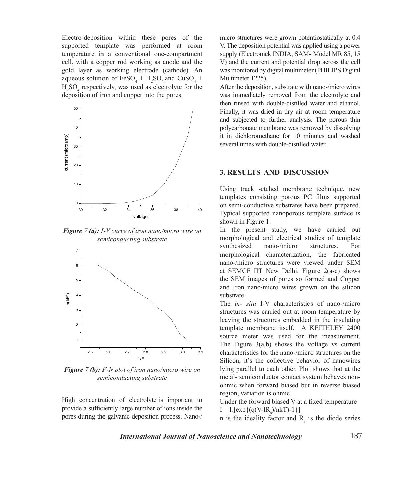Electro-deposition within these pores of the mic supported template was performed at room temperature in a conventional one-compartment cell, with a copper rod working as anode and the gold layer as working electrode (cathode). An was monitored by digi aqueous solution of  $FesO_4 + H_2SO_4$  and  $CuSO_4 +$  $H_2SO_4$  respectively, was used as electrolyte for the deposition of iron and copper into the pores.  $\mathcal{L}$ 



*semiconducting substrate* **the morphological and morphological** and semi-*Figure 7 (a): I-V* curve of iron nano/micro wire on Substrate in the



*semiconducting substrate* **heral-semiconducting substrate** *semiconducting substrate Figure 7 (b): F-N plot of iron nano/micro wire on* 

pores during the galvanic deposition process. Nano-/ High concentration of electrolyte is important to provide a sufficiently large number of ions inside the micro structures were grown potentiostatically at 0.4 V. The deposition potential was applied using a power supply (Electromek INDIA, SAM- Model MR 85, 15 V) and the current and potential drop across the cell was monitored by digital multimeter (PHILIPS Digital Multimeter 1225).

After the deposition, substrate with nano-/micro wires was immediately removed from the electrolyte and then rinsed with double-distilled water and ethanol. Finally, it was dried in dry air at room temperature and subjected to further analysis. The porous thin polycarbonate membrane was removed by dissolving it in dichloromethane for 10 minutes and washed several times with double-distilled water.

#### **3. RESULTS AND DISCUSSION**

Using track -etched membrane technique, new templates consisting porous PC films supported on semi-conductive substrates have been prepared. Typical supported nanoporous template surface is shown in Figure 1.

In the present study, we have carried out morphological and electrical studies of template synthesized nano-/micro structures. For morphological characterization, the fabricated nano-/micro structures were viewed under SEM at SEMCF IIT New Delhi, Figure 2(a-c) shows the SEM images of pores so formed and Copper and Iron nano/micro wires grown on the silicon substrate.

The *in- situ* I-V characteristics of nano-/micro structures was carried out at room temperature by leaving the structures embedded in the insulating template membrane itself. A KEITHLEY 2400 source meter was used for the measurement. The Figure  $3(a,b)$  shows the voltage vs current characteristics for the nano-/micro structures on the Silicon, it's the collective behavior of nanowires lying parallel to each other. Plot shows that at the metal- semiconductor contact system behaves nonohmic when forward biased but in reverse biased region, variation is ohmic.

Under the forward biased V at a fixed temperature  $I = I_0[exp{(q(V-IR_s)/nkT)}-1}]$ 

n is the ideality factor and  $R_s$  is the diode series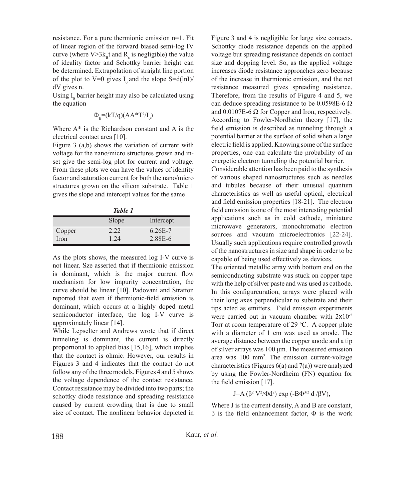resistance. For a pure thermionic emission n=1. Fit of linear region of the forward biased semi-log IV curve (where  $V>3k_{B}t$  and  $R_{s}$  is negligible) the value of ideality factor and Schottky barrier height can be determined. Extrapolation of straight line portion of the plot to V=0 gives  $I_0$  and the slope S=d(lnI)/ dV gives n.

Using  $I_0$  barrier height may also be calculated using the equation

$$
\Phi_{\rm B}\text{=}(kT/q)(AA^*T^2/I_0)
$$

Where A\* is the Richardson constant and A is the electrical contact area [10].

Figure 3 (a,b) shows the variation of current with voltage for the nano/micro structures grown and inset give the semi-log plot for current and voltage. From these plots we can have the values of identity factor and saturation current for both the nano/micro structures grown on the silicon substrate. Table 1 gives the slope and intercept values for the same

|--|--|

|        | Slope | Intercept   |
|--------|-------|-------------|
| Copper | 2.22  | $6.26E - 7$ |
| Iron   | 1.24  | 2.88E-6     |

As the plots shows, the measured log I-V curve is not linear. Sze asserted that if thermionic emission is dominant, which is the major current flow mechanism for low impurity concentration, the curve should be linear [10]. Padovani and Stratton reported that even if thermionic-field emission is dominant, which occurs at a highly doped metal semiconductor interface, the log I-V curve is approximately linear [14].

While Lepselter and Andrews wrote that if direct tunneling is dominant, the current is directly proportional to applied bias [15,16], which implies that the contact is ohmic. However, our results in Figures 3 and 4 indicates that the contact do not follow any of the three models. Figures 4 and 5 shows the voltage dependence of the contact resistance. Contact resistance may be divided into two parts; the schottky diode resistance and spreading resistance caused by current crowding that is due to small size of contact. The nonlinear behavior depicted in

Figure 3 and 4 is negligible for large size contacts. Schottky diode resistance depends on the applied voltage but spreading resistance depends on contact size and dopping level. So, as the applied voltage increases diode resistance approaches zero because of the increase in thermionic emission, and the net resistance measured gives spreading resistance. Therefore, from the results of Figure 4 and 5, we can deduce spreading resistance to be  $0.0598E-6 \Omega$ and  $0.0107E-6 \Omega$  for Copper and Iron, respectively. According to Fowler-Nordheim theory [17], the field emission is described as tunneling through a potential barrier at the surface of solid when a large electric field is applied. Knowing some of the surface properties, one can calculate the probability of an energetic electron tunneling the potential barrier.

Considerable attention has been paid to the synthesis of various shaped nanostructures such as needles and tubules because of their unusual quantum characteristics as well as useful optical, electrical and field emission properties [18-21]. The electron field emission is one of the most interesting potential applications such as in cold cathode, miniature microwave generators, monochromatic electron sources and vacuum microelectronics [22-24]. Usually such applications require controlled growth of the nanostructures in size and shape in order to be capable of being used effectively as devices.

The oriented metallic array with bottom end on the semiconducting substrate was stuck on copper tape with the help of silver paste and was used as cathode. In this configureuration, arrays were placed with their long axes perpendicular to substrate and their tips acted as emitters. Field emission experiments were carried out in vacuum chamber with  $2x10^{-5}$ Torr at room temperature of 29  $°C$ . A copper plate with a diameter of 1 cm was used as anode. The average distance between the copper anode and a tip of silver arrays was 100 μm. The measured emission area was 100 mm2 . The emission current-voltage characteristics (Figures 6(a) and 7(a)) were analyzed by using the Fowler-Nordheim (FN) equation for the field emission [17].

# J=A (β<sup>2</sup> V<sup>2</sup>/Φd<sup>2</sup>) exp (-BΦ<sup>3/2</sup> d /βV),

Where J is the current density, A and B are constant,  $β$  is the field enhancement factor,  $Φ$  is the work